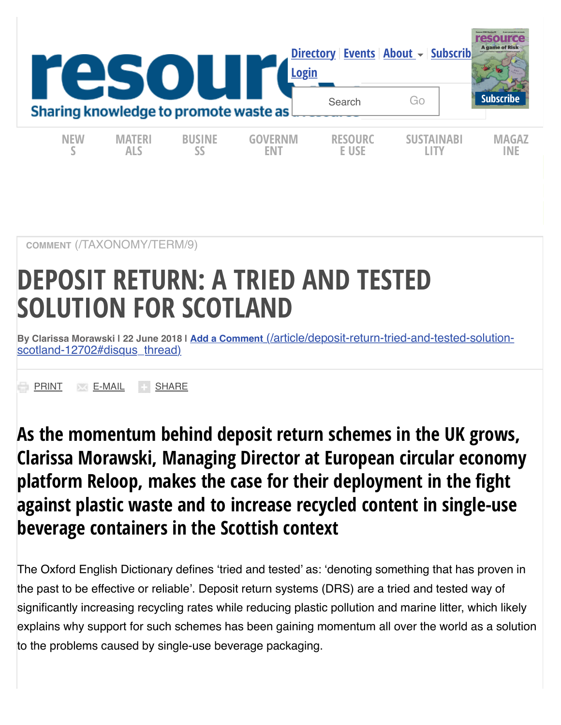

**COMMENT** [\(/TAXONOMY/TERM/9\)](https://resource.co/taxonomy/term/9)

# **DEPOSIT RETURN: A TRIED AND TESTED SOLUTION FOR SCOTLAND**

**By Clarissa Morawski | 22 June 2018 | Add a Comment** [\(/article/deposit-return-tried-and-tested-solution](https://resource.co/article/deposit-return-tried-and-tested-solution-scotland-12702#disqus_thread)scotland-12702#disqus\_thread)

**[PRINT](https://resource.co/article/deposit-return-tried-and-tested-solution-scotland-12702#) [E-MAIL](https://resource.co/article/deposit-return-tried-and-tested-solution-scotland-12702#) [SHARE](https://resource.co/article/deposit-return-tried-and-tested-solution-scotland-12702#)** 

**As the momentum behind deposit return schemes in the UK grows, Clarissa Morawski, Managing Director at European circular economy platform Reloop, makes the case for their deployment in the fight against plastic waste and to increase recycled content in single-use beverage containers in the Scottish context**

The Oxford English Dictionary defines 'tried and tested' as: 'denoting something that has proven in the past to be effective or reliable'. Deposit return systems (DRS) are a tried and tested way of significantly increasing recycling rates while reducing plastic pollution and marine litter, which likely explains why support for such schemes has been gaining momentum all over the world as a solution to the problems caused by single-use beverage packaging.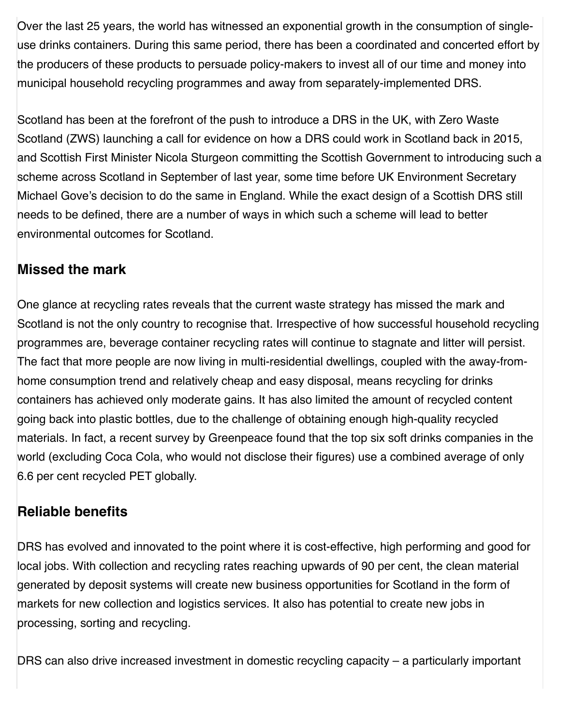Over the last 25 years, the world has witnessed an exponential growth in the consumption of singleuse drinks containers. During this same period, there has been a coordinated and concerted effort by the producers of these products to persuade policy-makers to invest all of our time and money into municipal household recycling programmes and away from separately-implemented DRS.

Scotland has been at the forefront of the push to introduce a DRS in the UK, with Zero Waste Scotland (ZWS) launching a call for evidence on how a DRS could work in Scotland back in 2015, and Scottish First Minister Nicola Sturgeon committing the Scottish Government to introducing such a scheme across Scotland in September of last year, some time before UK Environment Secretary Michael Gove's decision to do the same in England. While the exact design of a Scottish DRS still needs to be defined, there are a number of ways in which such a scheme will lead to better environmental outcomes for Scotland.

#### **Missed the mark**

One glance at recycling rates reveals that the current waste strategy has missed the mark and Scotland is not the only country to recognise that. Irrespective of how successful household recycling programmes are, beverage container recycling rates will continue to stagnate and litter will persist. The fact that more people are now living in multi-residential dwellings, coupled with the away-fromhome consumption trend and relatively cheap and easy disposal, means recycling for drinks containers has achieved only moderate gains. It has also limited the amount of recycled content going back into plastic bottles, due to the challenge of obtaining enough high-quality recycled materials. In fact, a recent survey by Greenpeace found that the top six soft drinks companies in the world (excluding Coca Cola, who would not disclose their figures) use a combined average of only 6.6 per cent recycled PET globally.

#### **Reliable benefits**

DRS has evolved and innovated to the point where it is cost-effective, high performing and good for local jobs. With collection and recycling rates reaching upwards of 90 per cent, the clean material generated by deposit systems will create new business opportunities for Scotland in the form of markets for new collection and logistics services. It also has potential to create new jobs in processing, sorting and recycling.

DRS can also drive increased investment in domestic recycling capacity – a particularly important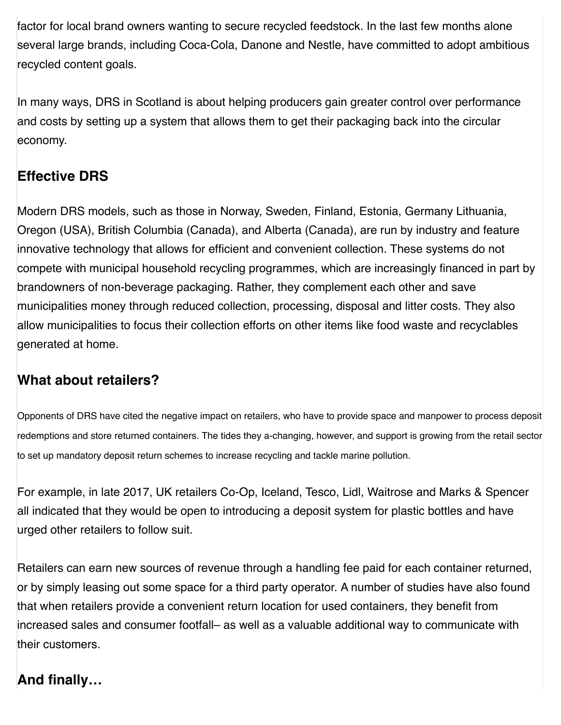factor for local brand owners wanting to secure recycled feedstock. In the last few months alone several large brands, including Coca-Cola, Danone and Nestle, have committed to adopt ambitious recycled content goals.

In many ways, DRS in Scotland is about helping producers gain greater control over performance and costs by setting up a system that allows them to get their packaging back into the circular economy.

#### **Effective DRS**

Modern DRS models, such as those in Norway, Sweden, Finland, Estonia, Germany Lithuania, Oregon (USA), British Columbia (Canada), and Alberta (Canada), are run by industry and feature innovative technology that allows for efficient and convenient collection. These systems do not compete with municipal household recycling programmes, which are increasingly financed in part by brandowners of non-beverage packaging. Rather, they complement each other and save municipalities money through reduced collection, processing, disposal and litter costs. They also allow municipalities to focus their collection efforts on other items like food waste and recyclables generated at home.

#### **What about retailers?**

Opponents of DRS have cited the negative impact on retailers, who have to provide space and manpower to process deposit redemptions and store returned containers. The tides they a-changing, however, and support is growing from the retail sector to set up mandatory deposit return schemes to increase recycling and tackle marine pollution.

For example, in late 2017, UK retailers Co-Op, Iceland, Tesco, Lidl, Waitrose and Marks & Spencer all indicated that they would be open to introducing a deposit system for plastic bottles and have urged other retailers to follow suit.

Retailers can earn new sources of revenue through a handling fee paid for each container returned, or by simply leasing out some space for a third party operator. A number of studies have also found that when retailers provide a convenient return location for used containers, they benefit from increased sales and consumer footfall– as well as a valuable additional way to communicate with their customers.

#### **And finally…**